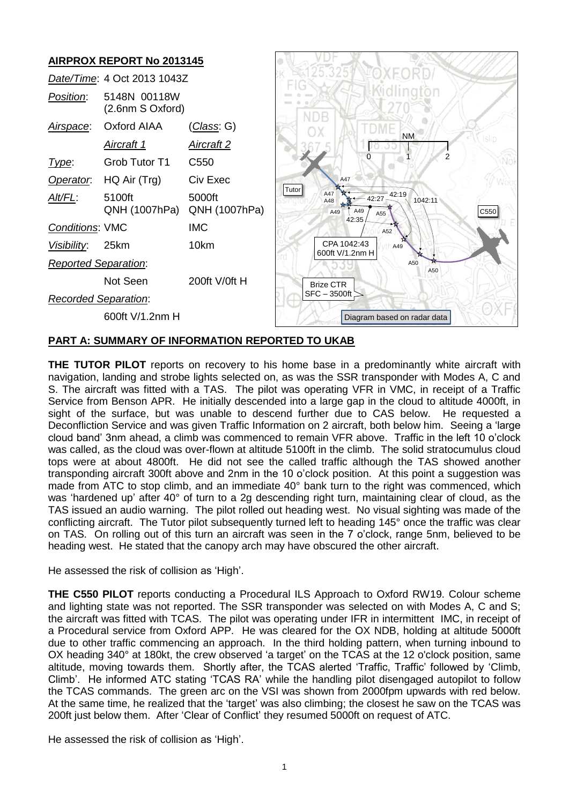

# **PART A: SUMMARY OF INFORMATION REPORTED TO UKAB**

**THE TUTOR PILOT** reports on recovery to his home base in a predominantly white aircraft with navigation, landing and strobe lights selected on, as was the SSR transponder with Modes A, C and S. The aircraft was fitted with a TAS. The pilot was operating VFR in VMC, in receipt of a Traffic Service from Benson APR. He initially descended into a large gap in the cloud to altitude 4000ft, in sight of the surface, but was unable to descend further due to CAS below. He requested a Deconfliction Service and was given Traffic Information on 2 aircraft, both below him. Seeing a 'large cloud band' 3nm ahead, a climb was commenced to remain VFR above. Traffic in the left 10 o'clock was called, as the cloud was over-flown at altitude 5100ft in the climb. The solid stratocumulus cloud tops were at about 4800ft. He did not see the called traffic although the TAS showed another transponding aircraft 300ft above and 2nm in the 10 o'clock position. At this point a suggestion was made from ATC to stop climb, and an immediate 40° bank turn to the right was commenced, which was 'hardened up' after 40° of turn to a 2g descending right turn, maintaining clear of cloud, as the TAS issued an audio warning. The pilot rolled out heading west. No visual sighting was made of the conflicting aircraft. The Tutor pilot subsequently turned left to heading 145° once the traffic was clear on TAS. On rolling out of this turn an aircraft was seen in the 7 o'clock, range 5nm, believed to be heading west. He stated that the canopy arch may have obscured the other aircraft.

He assessed the risk of collision as 'High'.

**THE C550 PILOT** reports conducting a Procedural ILS Approach to Oxford RW19. Colour scheme and lighting state was not reported. The SSR transponder was selected on with Modes A, C and S; the aircraft was fitted with TCAS. The pilot was operating under IFR in intermittent IMC, in receipt of a Procedural service from Oxford APP. He was cleared for the OX NDB, holding at altitude 5000ft due to other traffic commencing an approach. In the third holding pattern, when turning inbound to OX heading 340° at 180kt, the crew observed 'a target' on the TCAS at the 12 o'clock position, same altitude, moving towards them. Shortly after, the TCAS alerted 'Traffic, Traffic' followed by 'Climb, Climb'. He informed ATC stating 'TCAS RA' while the handling pilot disengaged autopilot to follow the TCAS commands. The green arc on the VSI was shown from 2000fpm upwards with red below. At the same time, he realized that the 'target' was also climbing; the closest he saw on the TCAS was 200ft just below them. After 'Clear of Conflict' they resumed 5000ft on request of ATC.

He assessed the risk of collision as 'High'.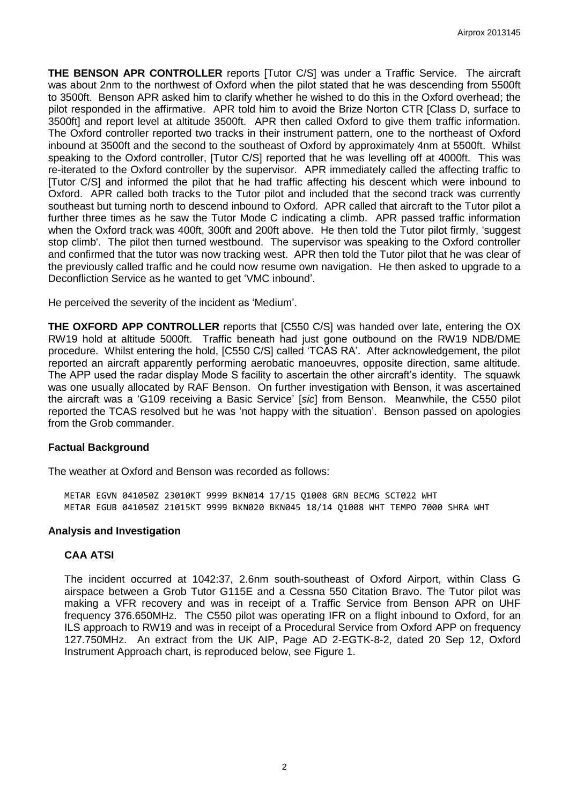**THE BENSON APR CONTROLLER** reports [Tutor C/S] was under a Traffic Service. The aircraft was about 2nm to the northwest of Oxford when the pilot stated that he was descending from 5500ft to 3500ft. Benson APR asked him to clarify whether he wished to do this in the Oxford overhead; the pilot responded in the affirmative. APR told him to avoid the Brize Norton CTR [Class D, surface to 3500ft] and report level at altitude 3500ft. APR then called Oxford to give them traffic information. The Oxford controller reported two tracks in their instrument pattern, one to the northeast of Oxford inbound at 3500ft and the second to the southeast of Oxford by approximately 4nm at 5500ft. Whilst speaking to the Oxford controller, [Tutor C/S] reported that he was levelling off at 4000ft. This was re-iterated to the Oxford controller by the supervisor. APR immediately called the affecting traffic to [Tutor C/S] and informed the pilot that he had traffic affecting his descent which were inbound to Oxford. APR called both tracks to the Tutor pilot and included that the second track was currently southeast but turning north to descend inbound to Oxford. APR called that aircraft to the Tutor pilot a further three times as he saw the Tutor Mode C indicating a climb. APR passed traffic information when the Oxford track was 400ft, 300ft and 200ft above. He then told the Tutor pilot firmly, 'suggest stop climb'. The pilot then turned westbound. The supervisor was speaking to the Oxford controller and confirmed that the tutor was now tracking west. APR then told the Tutor pilot that he was clear of the previously called traffic and he could now resume own navigation. He then asked to upgrade to a Deconfliction Service as he wanted to get 'VMC inbound'.

He perceived the severity of the incident as 'Medium'.

**THE OXFORD APP CONTROLLER** reports that [C550 C/S] was handed over late, entering the OX RW19 hold at altitude 5000ft. Traffic beneath had just gone outbound on the RW19 NDB/DME procedure. Whilst entering the hold, [C550 C/S] called 'TCAS RA'. After acknowledgement, the pilot reported an aircraft apparently performing aerobatic manoeuvres, opposite direction, same altitude. The APP used the radar display Mode S facility to ascertain the other aircraft's identity. The squawk was one usually allocated by RAF Benson. On further investigation with Benson, it was ascertained the aircraft was a 'G109 receiving a Basic Service' [*sic*] from Benson. Meanwhile, the C550 pilot reported the TCAS resolved but he was 'not happy with the situation'. Benson passed on apologies from the Grob commander.

## **Factual Background**

The weather at Oxford and Benson was recorded as follows:

METAR EGVN 041050Z 23010KT 9999 BKN014 17/15 Q1008 GRN BECMG SCT022 WHT METAR EGUB 041050Z 21015KT 9999 BKN020 BKN045 18/14 Q1008 WHT TEMPO 7000 SHRA WHT

#### **Analysis and Investigation**

## **CAA ATSI**

The incident occurred at 1042:37, 2.6nm south-southeast of Oxford Airport, within Class G airspace between a Grob Tutor G115E and a Cessna 550 Citation Bravo. The Tutor pilot was making a VFR recovery and was in receipt of a Traffic Service from Benson APR on UHF frequency 376.650MHz. The C550 pilot was operating IFR on a flight inbound to Oxford, for an ILS approach to RW19 and was in receipt of a Procedural Service from Oxford APP on frequency 127.750MHz. An extract from the UK AIP, Page AD 2-EGTK-8-2, dated 20 Sep 12, Oxford Instrument Approach chart, is reproduced below, see Figure 1.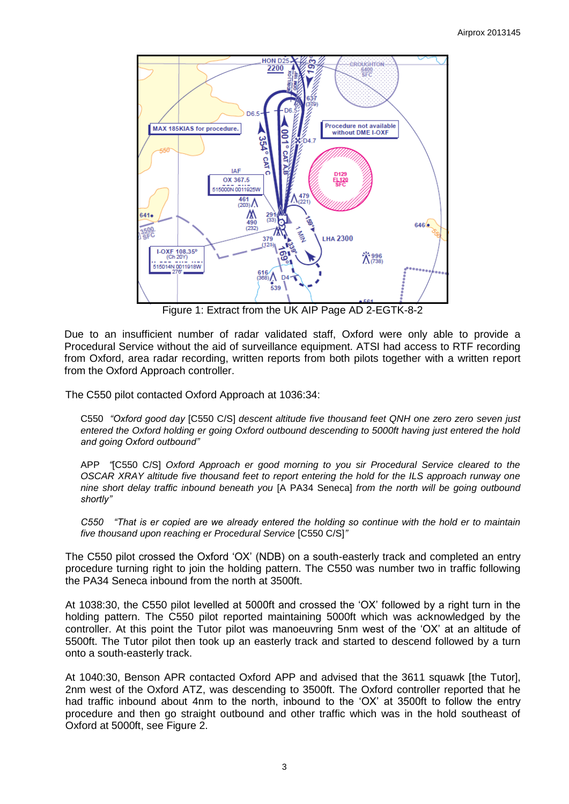

Figure 1: Extract from the UK AIP Page AD 2-EGTK-8-2

Due to an insufficient number of radar validated staff, Oxford were only able to provide a Procedural Service without the aid of surveillance equipment. ATSI had access to RTF recording from Oxford, area radar recording, written reports from both pilots together with a written report from the Oxford Approach controller.

The C550 pilot contacted Oxford Approach at 1036:34:

C550 *"Oxford good day* [C550 C/S] *descent altitude five thousand feet QNH one zero zero seven just entered the Oxford holding er going Oxford outbound descending to 5000ft having just entered the hold and going Oxford outbound"*

APP *"*[C550 C/S] *Oxford Approach er good morning to you sir Procedural Service cleared to the OSCAR XRAY altitude five thousand feet to report entering the hold for the ILS approach runway one nine short delay traffic inbound beneath you* [A PA34 Seneca] *from the north will be going outbound shortly"*

*C550 "That is er copied are we already entered the holding so continue with the hold er to maintain five thousand upon reaching er Procedural Service* [C550 C/S]*"*

The C550 pilot crossed the Oxford 'OX' (NDB) on a south-easterly track and completed an entry procedure turning right to join the holding pattern. The C550 was number two in traffic following the PA34 Seneca inbound from the north at 3500ft.

At 1038:30, the C550 pilot levelled at 5000ft and crossed the 'OX' followed by a right turn in the holding pattern. The C550 pilot reported maintaining 5000ft which was acknowledged by the controller. At this point the Tutor pilot was manoeuvring 5nm west of the 'OX' at an altitude of 5500ft. The Tutor pilot then took up an easterly track and started to descend followed by a turn onto a south-easterly track.

At 1040:30, Benson APR contacted Oxford APP and advised that the 3611 squawk [the Tutor], 2nm west of the Oxford ATZ, was descending to 3500ft. The Oxford controller reported that he had traffic inbound about 4nm to the north, inbound to the 'OX' at 3500ft to follow the entry procedure and then go straight outbound and other traffic which was in the hold southeast of Oxford at 5000ft, see Figure 2.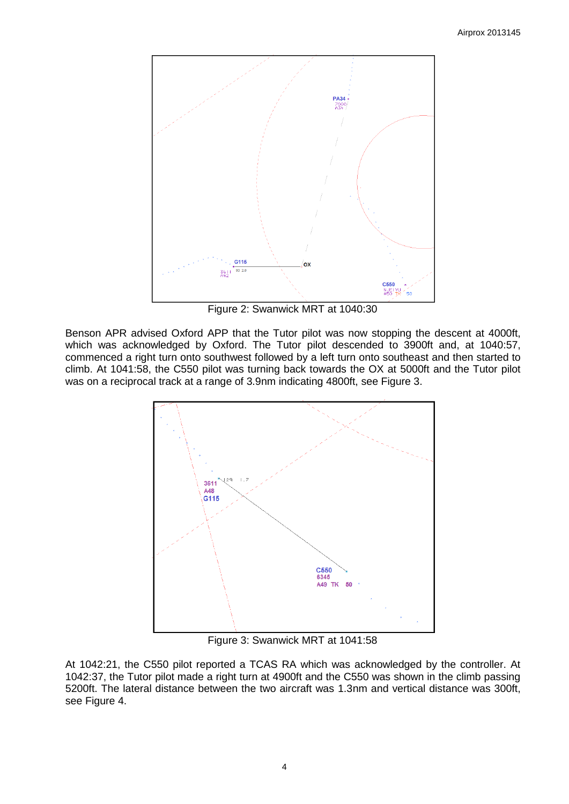

Figure 2: Swanwick MRT at 1040:30

Benson APR advised Oxford APP that the Tutor pilot was now stopping the descent at 4000ft, which was acknowledged by Oxford. The Tutor pilot descended to 3900ft and, at 1040:57, commenced a right turn onto southwest followed by a left turn onto southeast and then started to climb. At 1041:58, the C550 pilot was turning back towards the OX at 5000ft and the Tutor pilot was on a reciprocal track at a range of 3.9nm indicating 4800ft, see Figure 3.



Figure 3: Swanwick MRT at 1041:58

At 1042:21, the C550 pilot reported a TCAS RA which was acknowledged by the controller. At 1042:37, the Tutor pilot made a right turn at 4900ft and the C550 was shown in the climb passing 5200ft. The lateral distance between the two aircraft was 1.3nm and vertical distance was 300ft, see Figure 4.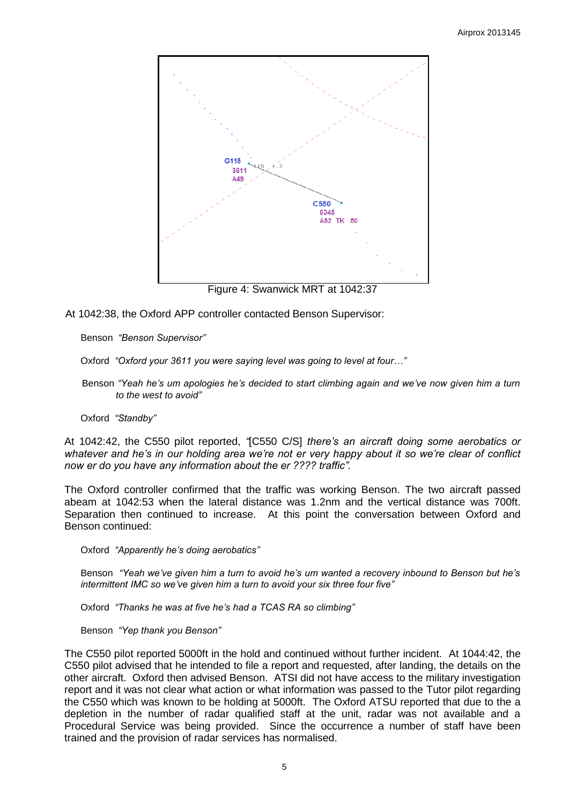

Figure 4: Swanwick MRT at 1042:37

At 1042:38, the Oxford APP controller contacted Benson Supervisor:

Benson *"Benson Supervisor"*

Oxford *"Oxford your 3611 you were saying level was going to level at four…"*

Benson *"Yeah he's um apologies he's decided to start climbing again and we've now given him a turn to the west to avoid"*

Oxford *"Standby"*

At 1042:42, the C550 pilot reported, *"*[C550 C/S] *there's an aircraft doing some aerobatics or whatever and he's in our holding area we're not er very happy about it so we're clear of conflict now er do you have any information about the er ???? traffic".*

The Oxford controller confirmed that the traffic was working Benson. The two aircraft passed abeam at 1042:53 when the lateral distance was 1.2nm and the vertical distance was 700ft. Separation then continued to increase. At this point the conversation between Oxford and Benson continued:

Oxford *"Apparently he's doing aerobatics"*

Benson *"Yeah we've given him a turn to avoid he's um wanted a recovery inbound to Benson but he's intermittent IMC so we've given him a turn to avoid your six three four five"*

Oxford *"Thanks he was at five he's had a TCAS RA so climbing"*

Benson *"Yep thank you Benson"*

The C550 pilot reported 5000ft in the hold and continued without further incident. At 1044:42, the C550 pilot advised that he intended to file a report and requested, after landing, the details on the other aircraft. Oxford then advised Benson. ATSI did not have access to the military investigation report and it was not clear what action or what information was passed to the Tutor pilot regarding the C550 which was known to be holding at 5000ft. The Oxford ATSU reported that due to the a depletion in the number of radar qualified staff at the unit, radar was not available and a Procedural Service was being provided. Since the occurrence a number of staff have been trained and the provision of radar services has normalised.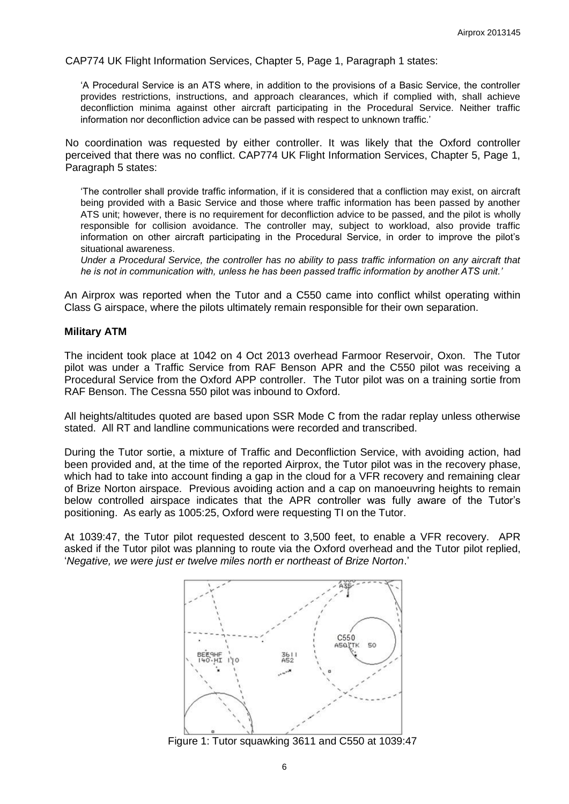CAP774 UK Flight Information Services, Chapter 5, Page 1, Paragraph 1 states:

'A Procedural Service is an ATS where, in addition to the provisions of a Basic Service, the controller provides restrictions, instructions, and approach clearances, which if complied with, shall achieve deconfliction minima against other aircraft participating in the Procedural Service. Neither traffic information nor deconfliction advice can be passed with respect to unknown traffic.'

No coordination was requested by either controller. It was likely that the Oxford controller perceived that there was no conflict. CAP774 UK Flight Information Services, Chapter 5, Page 1, Paragraph 5 states:

'The controller shall provide traffic information, if it is considered that a confliction may exist, on aircraft being provided with a Basic Service and those where traffic information has been passed by another ATS unit; however, there is no requirement for deconfliction advice to be passed, and the pilot is wholly responsible for collision avoidance. The controller may, subject to workload, also provide traffic information on other aircraft participating in the Procedural Service, in order to improve the pilot's situational awareness.

*Under a Procedural Service, the controller has no ability to pass traffic information on any aircraft that he is not in communication with, unless he has been passed traffic information by another ATS unit.'*

An Airprox was reported when the Tutor and a C550 came into conflict whilst operating within Class G airspace, where the pilots ultimately remain responsible for their own separation.

#### **Military ATM**

The incident took place at 1042 on 4 Oct 2013 overhead Farmoor Reservoir, Oxon. The Tutor pilot was under a Traffic Service from RAF Benson APR and the C550 pilot was receiving a Procedural Service from the Oxford APP controller. The Tutor pilot was on a training sortie from RAF Benson. The Cessna 550 pilot was inbound to Oxford.

All heights/altitudes quoted are based upon SSR Mode C from the radar replay unless otherwise stated. All RT and landline communications were recorded and transcribed.

During the Tutor sortie, a mixture of Traffic and Deconfliction Service, with avoiding action, had been provided and, at the time of the reported Airprox, the Tutor pilot was in the recovery phase, which had to take into account finding a gap in the cloud for a VFR recovery and remaining clear of Brize Norton airspace. Previous avoiding action and a cap on manoeuvring heights to remain below controlled airspace indicates that the APR controller was fully aware of the Tutor's positioning. As early as 1005:25, Oxford were requesting TI on the Tutor.

At 1039:47, the Tutor pilot requested descent to 3,500 feet, to enable a VFR recovery. APR asked if the Tutor pilot was planning to route via the Oxford overhead and the Tutor pilot replied, '*Negative, we were just er twelve miles north er northeast of Brize Norton*.'



Figure 1: Tutor squawking 3611 and C550 at 1039:47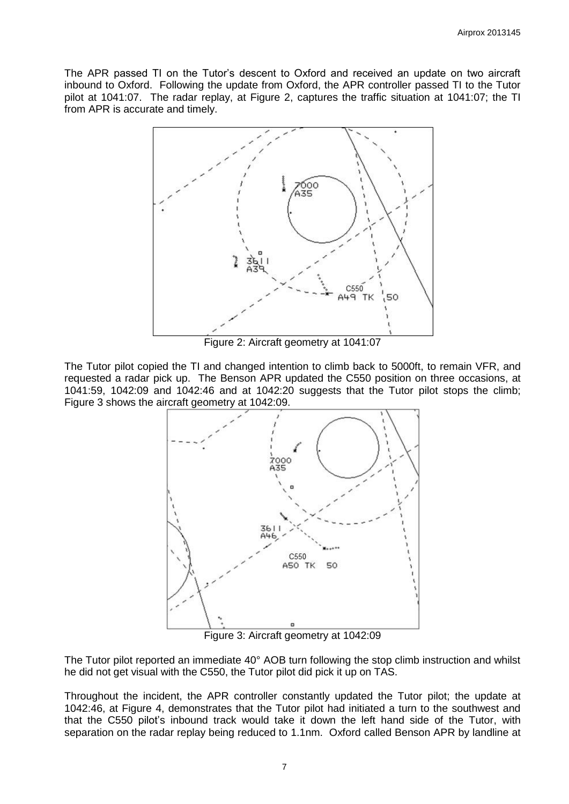The APR passed TI on the Tutor's descent to Oxford and received an update on two aircraft inbound to Oxford. Following the update from Oxford, the APR controller passed TI to the Tutor pilot at 1041:07. The radar replay, at Figure 2, captures the traffic situation at 1041:07; the TI from APR is accurate and timely.



Figure 2: Aircraft geometry at 1041:07

The Tutor pilot copied the TI and changed intention to climb back to 5000ft, to remain VFR, and requested a radar pick up. The Benson APR updated the C550 position on three occasions, at 1041:59, 1042:09 and 1042:46 and at 1042:20 suggests that the Tutor pilot stops the climb; Figure 3 shows the aircraft geometry at 1042:09.



Figure 3: Aircraft geometry at 1042:09

The Tutor pilot reported an immediate 40° AOB turn following the stop climb instruction and whilst he did not get visual with the C550, the Tutor pilot did pick it up on TAS.

Throughout the incident, the APR controller constantly updated the Tutor pilot; the update at 1042:46, at Figure 4, demonstrates that the Tutor pilot had initiated a turn to the southwest and that the C550 pilot's inbound track would take it down the left hand side of the Tutor, with separation on the radar replay being reduced to 1.1nm. Oxford called Benson APR by landline at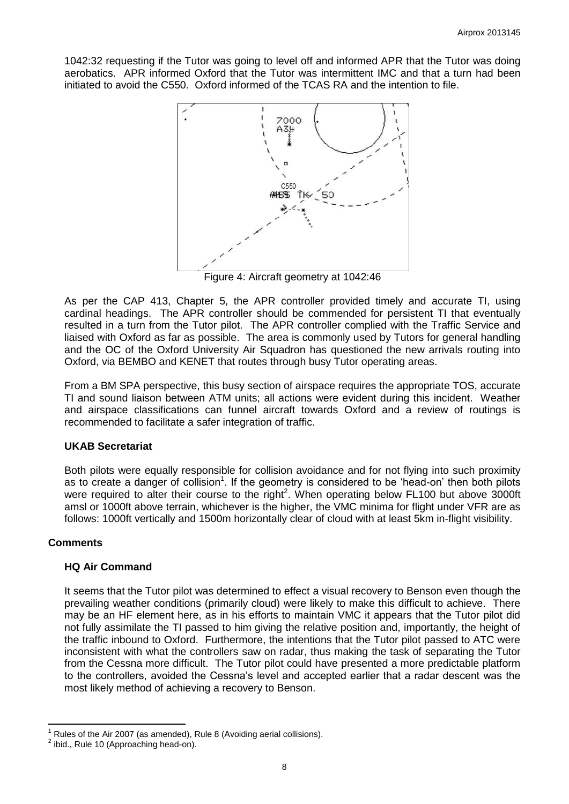1042:32 requesting if the Tutor was going to level off and informed APR that the Tutor was doing aerobatics. APR informed Oxford that the Tutor was intermittent IMC and that a turn had been initiated to avoid the C550. Oxford informed of the TCAS RA and the intention to file.



Figure 4: Aircraft geometry at 1042:46

As per the CAP 413, Chapter 5, the APR controller provided timely and accurate TI, using cardinal headings. The APR controller should be commended for persistent TI that eventually resulted in a turn from the Tutor pilot. The APR controller complied with the Traffic Service and liaised with Oxford as far as possible. The area is commonly used by Tutors for general handling and the OC of the Oxford University Air Squadron has questioned the new arrivals routing into Oxford, via BEMBO and KENET that routes through busy Tutor operating areas.

From a BM SPA perspective, this busy section of airspace requires the appropriate TOS, accurate TI and sound liaison between ATM units; all actions were evident during this incident. Weather and airspace classifications can funnel aircraft towards Oxford and a review of routings is recommended to facilitate a safer integration of traffic.

#### **UKAB Secretariat**

Both pilots were equally responsible for collision avoidance and for not flying into such proximity as to create a danger of collision<sup>1</sup>. If the geometry is considered to be 'head-on' then both pilots were required to alter their course to the right<sup>2</sup>. When operating below FL100 but above 3000ft amsl or 1000ft above terrain, whichever is the higher, the VMC minima for flight under VFR are as follows: 1000ft vertically and 1500m horizontally clear of cloud with at least 5km in-flight visibility.

## **Comments**

## **HQ Air Command**

It seems that the Tutor pilot was determined to effect a visual recovery to Benson even though the prevailing weather conditions (primarily cloud) were likely to make this difficult to achieve. There may be an HF element here, as in his efforts to maintain VMC it appears that the Tutor pilot did not fully assimilate the TI passed to him giving the relative position and, importantly, the height of the traffic inbound to Oxford. Furthermore, the intentions that the Tutor pilot passed to ATC were inconsistent with what the controllers saw on radar, thus making the task of separating the Tutor from the Cessna more difficult. The Tutor pilot could have presented a more predictable platform to the controllers, avoided the Cessna's level and accepted earlier that a radar descent was the most likely method of achieving a recovery to Benson.

 $\overline{\phantom{a}}$ Rules of the Air 2007 (as amended), Rule 8 (Avoiding aerial collisions).

 $2$  ibid., Rule 10 (Approaching head-on).